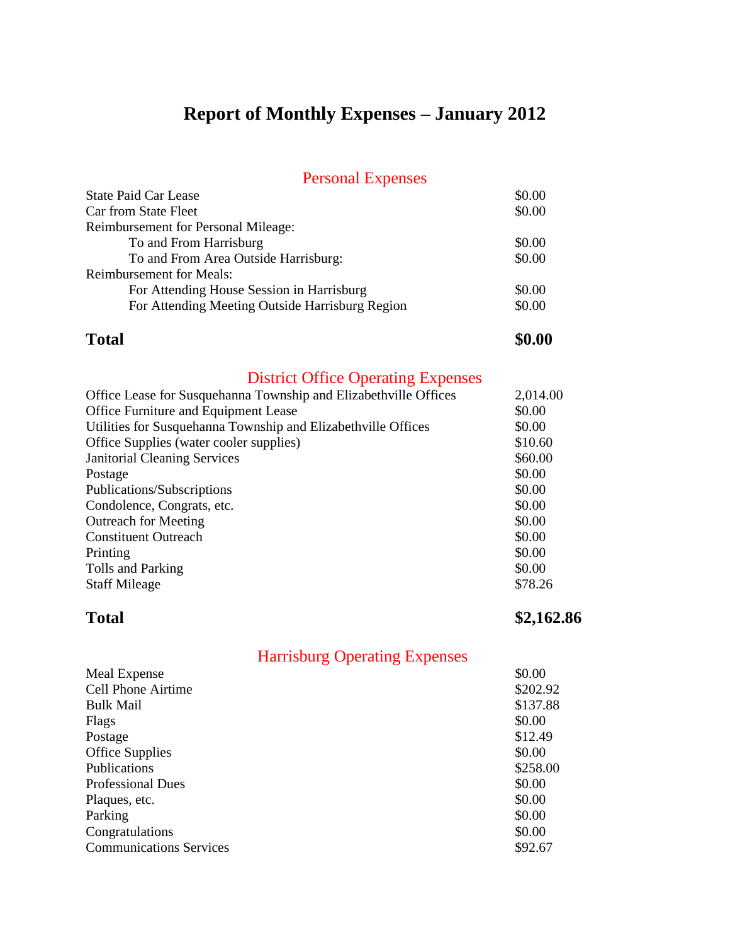## **Report of Monthly Expenses – January 2012**

### Personal Expenses

| <b>State Paid Car Lease</b>                     | \$0.00 |
|-------------------------------------------------|--------|
| Car from State Fleet                            | \$0.00 |
| <b>Reimbursement for Personal Mileage:</b>      |        |
| To and From Harrisburg                          | \$0.00 |
| To and From Area Outside Harrisburg:            | \$0.00 |
| <b>Reimbursement for Meals:</b>                 |        |
| For Attending House Session in Harrisburg       | \$0.00 |
| For Attending Meeting Outside Harrisburg Region | \$0.00 |
|                                                 |        |

### **Total \$0.00**

## District Office Operating Expenses

| Office Lease for Susquehanna Township and Elizabethville Offices | 2,014.00 |
|------------------------------------------------------------------|----------|
| Office Furniture and Equipment Lease                             | \$0.00   |
| Utilities for Susquehanna Township and Elizabethville Offices    | \$0.00   |
| Office Supplies (water cooler supplies)                          | \$10.60  |
| <b>Janitorial Cleaning Services</b>                              | \$60.00  |
| Postage                                                          | \$0.00   |
| Publications/Subscriptions                                       | \$0.00   |
| Condolence, Congrats, etc.                                       | \$0.00   |
| <b>Outreach for Meeting</b>                                      | \$0.00   |
| <b>Constituent Outreach</b>                                      | \$0.00   |
| Printing                                                         | \$0.00   |
| Tolls and Parking                                                | \$0.00   |
| <b>Staff Mileage</b>                                             | \$78.26  |
|                                                                  |          |

**Total \$2,162.86**

| Meal Expense                   | \$0.00   |
|--------------------------------|----------|
| <b>Cell Phone Airtime</b>      | \$202.92 |
| <b>Bulk Mail</b>               | \$137.88 |
| Flags                          | \$0.00   |
| Postage                        | \$12.49  |
| <b>Office Supplies</b>         | \$0.00   |
| Publications                   | \$258.00 |
| <b>Professional Dues</b>       | \$0.00   |
| Plaques, etc.                  | \$0.00   |
| Parking                        | \$0.00   |
| Congratulations                | \$0.00   |
| <b>Communications Services</b> | \$92.67  |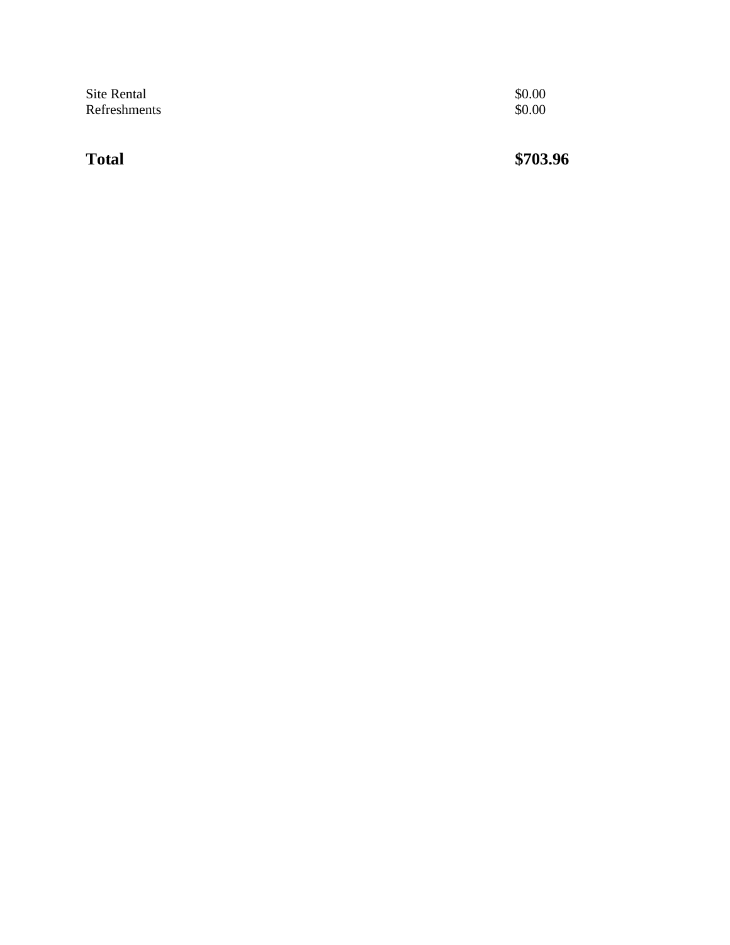| Site Rental  | \$0.00 |
|--------------|--------|
| Refreshments | \$0.00 |

**Total \$703.96**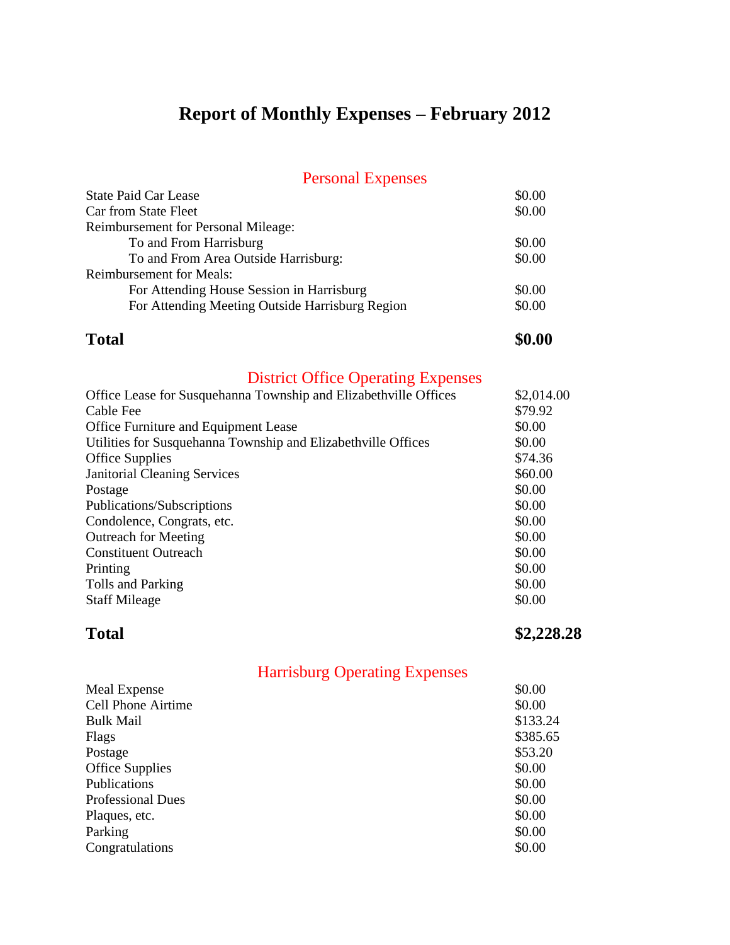## **Report of Monthly Expenses – February 2012**

### Personal Expenses

| <b>State Paid Car Lease</b>                     | \$0.00 |
|-------------------------------------------------|--------|
| Car from State Fleet                            | \$0.00 |
| <b>Reimbursement for Personal Mileage:</b>      |        |
| To and From Harrisburg                          | \$0.00 |
| To and From Area Outside Harrisburg:            | \$0.00 |
| <b>Reimbursement for Meals:</b>                 |        |
| For Attending House Session in Harrisburg       | \$0.00 |
| For Attending Meeting Outside Harrisburg Region | \$0.00 |
|                                                 |        |

### **Total \$0.00**

## District Office Operating Expenses

| Office Lease for Susquehanna Township and Elizabethville Offices | \$2,014.00 |
|------------------------------------------------------------------|------------|
| Cable Fee                                                        | \$79.92    |
| <b>Office Furniture and Equipment Lease</b>                      | \$0.00     |
| Utilities for Susquehanna Township and Elizabethville Offices    | \$0.00     |
| <b>Office Supplies</b>                                           | \$74.36    |
| <b>Janitorial Cleaning Services</b>                              | \$60.00    |
| Postage                                                          | \$0.00     |
| Publications/Subscriptions                                       | \$0.00     |
| Condolence, Congrats, etc.                                       | \$0.00     |
| <b>Outreach for Meeting</b>                                      | \$0.00     |
| <b>Constituent Outreach</b>                                      | \$0.00     |
| Printing                                                         | \$0.00     |
| Tolls and Parking                                                | \$0.00     |
| <b>Staff Mileage</b>                                             | \$0.00     |
|                                                                  |            |

**Total \$2,228.28**

| \$0.00   |
|----------|
| \$0.00   |
| \$133.24 |
| \$385.65 |
| \$53.20  |
| \$0.00   |
| \$0.00   |
| \$0.00   |
| \$0.00   |
| \$0.00   |
| \$0.00   |
|          |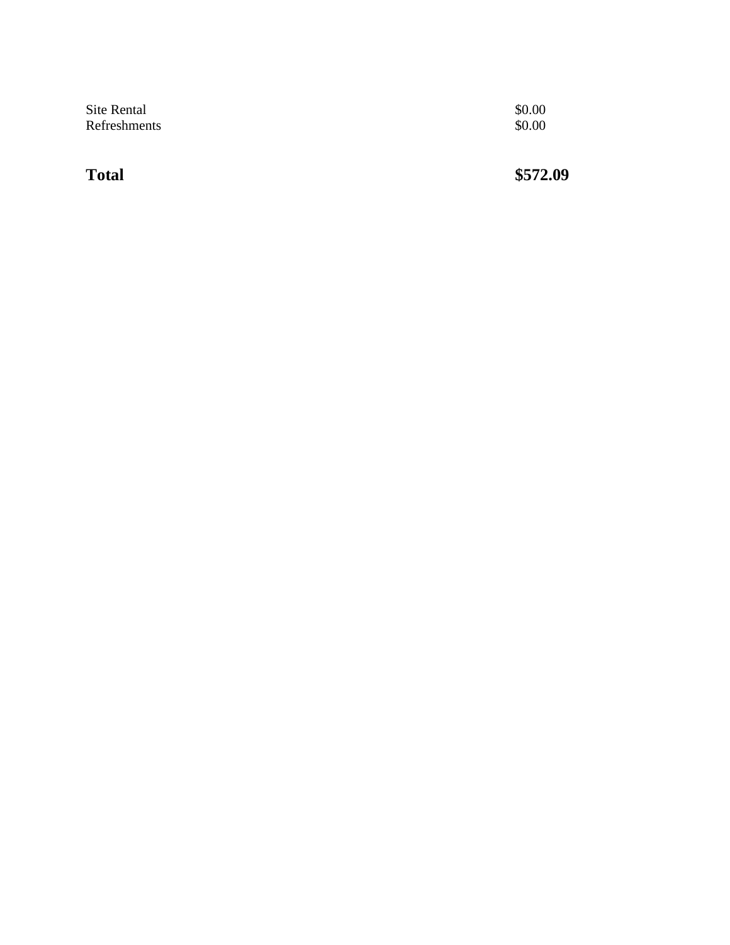| <b>Total</b> | \$572.09 |
|--------------|----------|
| Site Rental  | \$0.00   |
| Refreshments | \$0.00   |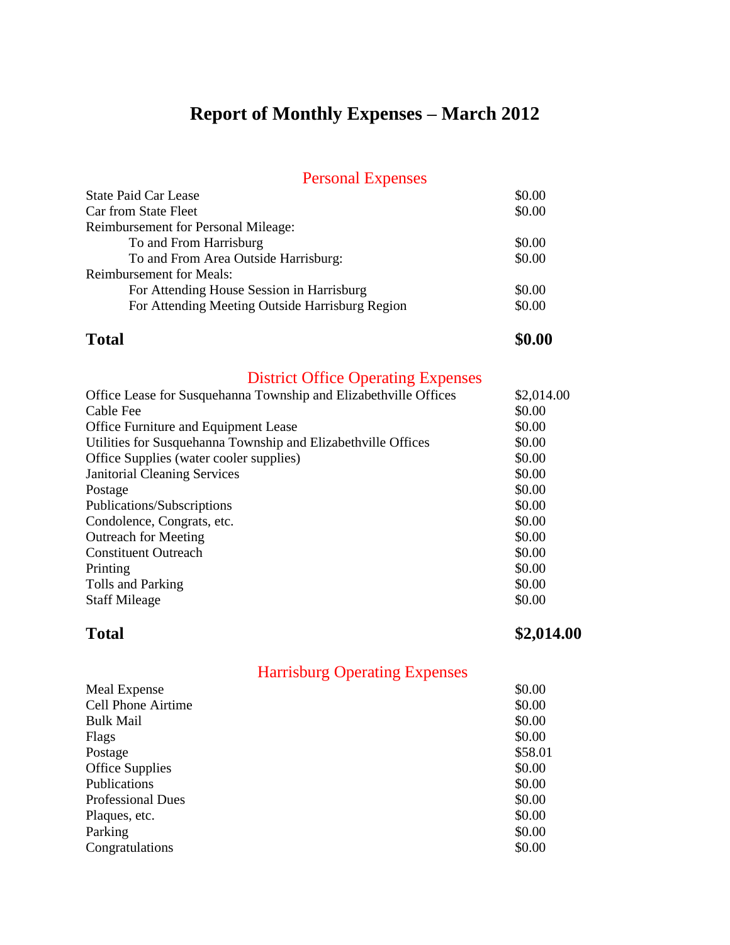# **Report of Monthly Expenses – March 2012**

### Personal Expenses

| I CHOOTHEL LAPOIDO                              |        |
|-------------------------------------------------|--------|
| <b>State Paid Car Lease</b>                     | \$0.00 |
| Car from State Fleet                            | \$0.00 |
| Reimbursement for Personal Mileage:             |        |
| To and From Harrisburg                          | \$0.00 |
| To and From Area Outside Harrisburg:            | \$0.00 |
| <b>Reimbursement for Meals:</b>                 |        |
| For Attending House Session in Harrisburg       | \$0.00 |
| For Attending Meeting Outside Harrisburg Region | \$0.00 |
|                                                 |        |

### **Total \$0.00**

## District Office Operating Expenses

| Office Lease for Susquehanna Township and Elizabethville Offices | \$2,014.00 |
|------------------------------------------------------------------|------------|
| Cable Fee                                                        | \$0.00     |
| <b>Office Furniture and Equipment Lease</b>                      | \$0.00     |
| Utilities for Susquehanna Township and Elizabethville Offices    | \$0.00     |
| Office Supplies (water cooler supplies)                          | \$0.00     |
| <b>Janitorial Cleaning Services</b>                              | \$0.00     |
| Postage                                                          | \$0.00     |
| Publications/Subscriptions                                       | \$0.00     |
| Condolence, Congrats, etc.                                       | \$0.00     |
| <b>Outreach for Meeting</b>                                      | \$0.00     |
| <b>Constituent Outreach</b>                                      | \$0.00     |
| Printing                                                         | \$0.00     |
| Tolls and Parking                                                | \$0.00     |
| <b>Staff Mileage</b>                                             | \$0.00     |
|                                                                  |            |

**Total \$2,014.00** 

| <b>Cell Phone Airtime</b><br>\$0.00 |  |
|-------------------------------------|--|
| \$0.00<br><b>Bulk Mail</b>          |  |
| \$0.00<br>Flags                     |  |
| \$58.01<br>Postage                  |  |
| <b>Office Supplies</b><br>\$0.00    |  |
| Publications<br>\$0.00              |  |
| \$0.00<br><b>Professional Dues</b>  |  |
| \$0.00<br>Plaques, etc.             |  |
| \$0.00<br>Parking                   |  |
| \$0.00<br>Congratulations           |  |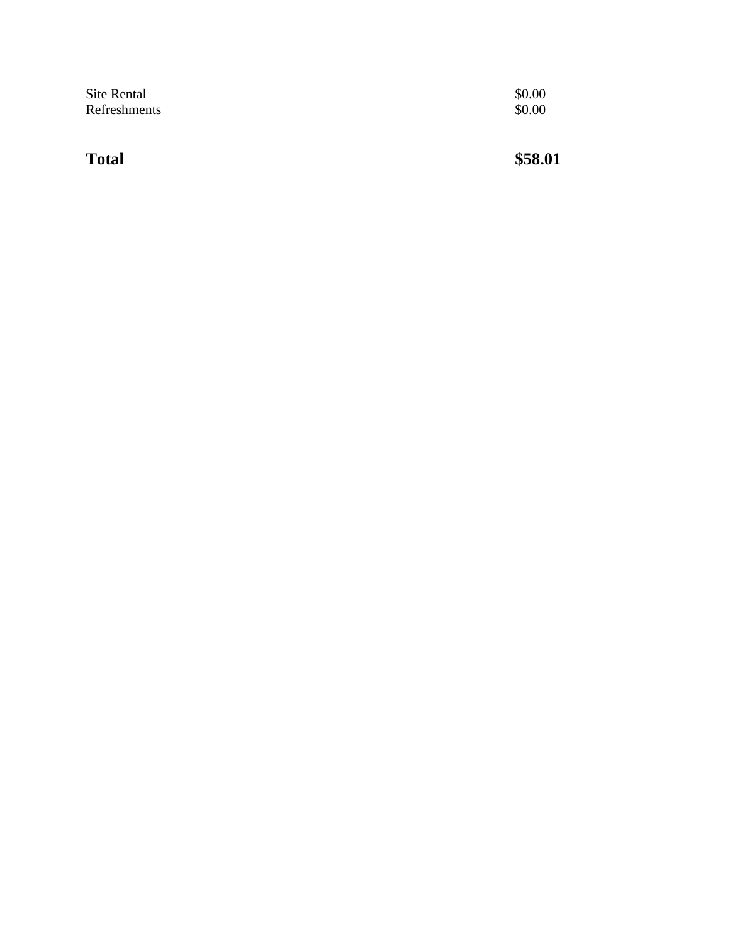| Site Rental  | \$0.00 |
|--------------|--------|
| Refreshments | \$0.00 |

**Total \$58.01**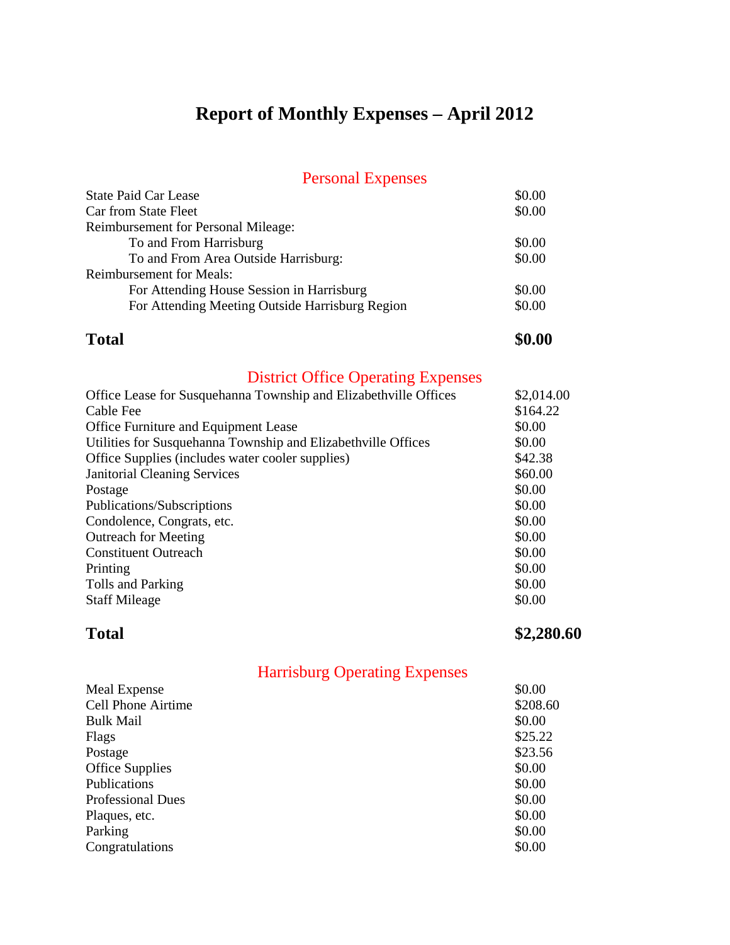# **Report of Monthly Expenses – April 2012**

### Personal Expenses

| <b>State Paid Car Lease</b>                     | \$0.00 |
|-------------------------------------------------|--------|
| Car from State Fleet                            | \$0.00 |
| <b>Reimbursement for Personal Mileage:</b>      |        |
| To and From Harrisburg                          | \$0.00 |
| To and From Area Outside Harrisburg:            | \$0.00 |
| <b>Reimbursement for Meals:</b>                 |        |
| For Attending House Session in Harrisburg       | \$0.00 |
| For Attending Meeting Outside Harrisburg Region | \$0.00 |
|                                                 |        |

### **Total \$0.00**

## District Office Operating Expenses

| Office Lease for Susquehanna Township and Elizabethville Offices | \$2,014.00 |
|------------------------------------------------------------------|------------|
| Cable Fee                                                        | \$164.22   |
| <b>Office Furniture and Equipment Lease</b>                      | \$0.00     |
| Utilities for Susquehanna Township and Elizabethville Offices    | \$0.00     |
| Office Supplies (includes water cooler supplies)                 | \$42.38    |
| <b>Janitorial Cleaning Services</b>                              | \$60.00    |
| Postage                                                          | \$0.00     |
| Publications/Subscriptions                                       | \$0.00     |
| Condolence, Congrats, etc.                                       | \$0.00     |
| <b>Outreach for Meeting</b>                                      | \$0.00     |
| <b>Constituent Outreach</b>                                      | \$0.00     |
| Printing                                                         | \$0.00     |
| Tolls and Parking                                                | \$0.00     |
| <b>Staff Mileage</b>                                             | \$0.00     |
|                                                                  |            |

**Total** \$2,280.60

| Meal Expense              | \$0.00   |
|---------------------------|----------|
| <b>Cell Phone Airtime</b> | \$208.60 |
| <b>Bulk Mail</b>          | \$0.00   |
| Flags                     | \$25.22  |
| Postage                   | \$23.56  |
| <b>Office Supplies</b>    | \$0.00   |
| Publications              | \$0.00   |
| <b>Professional Dues</b>  | \$0.00   |
| Plaques, etc.             | \$0.00   |
| Parking                   | \$0.00   |
| Congratulations           | \$0.00   |
|                           |          |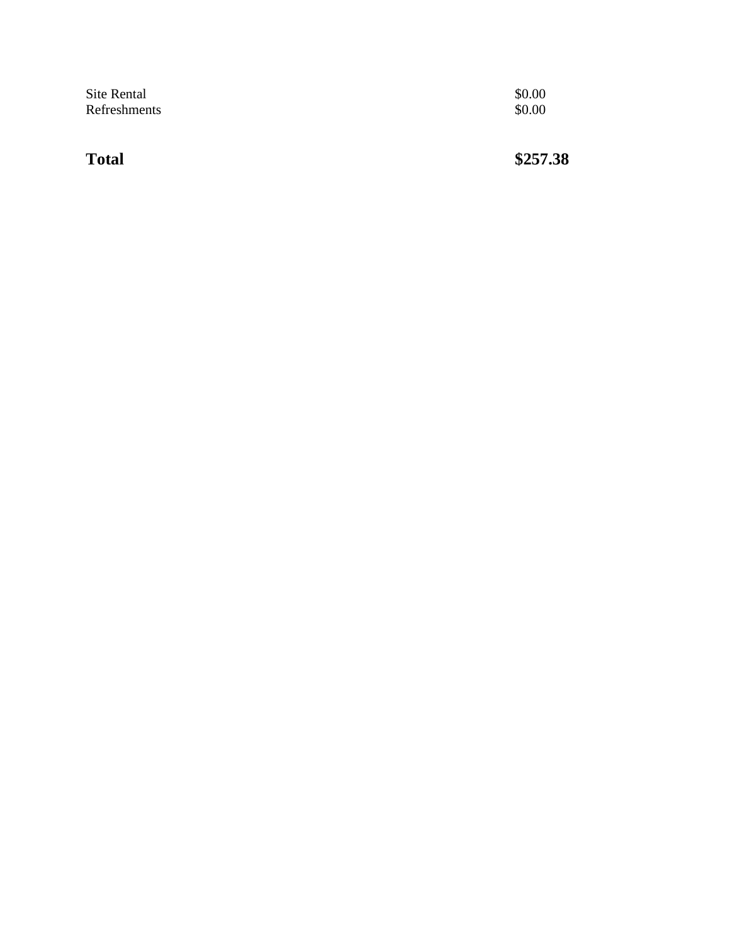| Site Rental  | \$0.00 |
|--------------|--------|
| Refreshments | \$0.00 |
|              |        |

**Total \$257.38**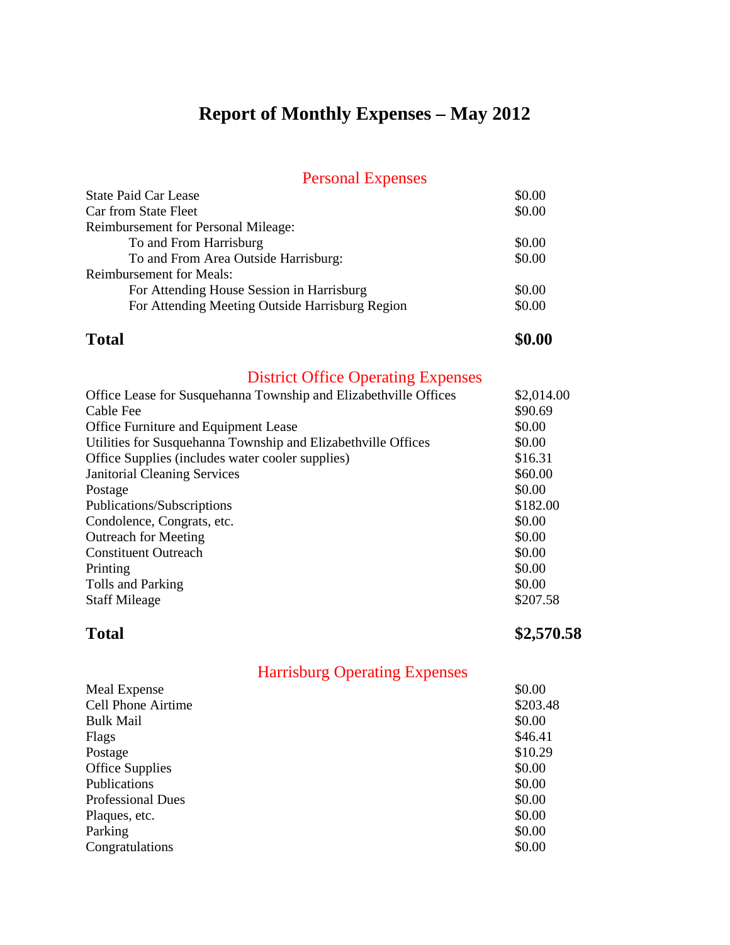# **Report of Monthly Expenses – May 2012**

### Personal Expenses

| I CHOOTHEL LAPOIDOU                             |        |
|-------------------------------------------------|--------|
| <b>State Paid Car Lease</b>                     | \$0.00 |
| Car from State Fleet                            | \$0.00 |
| <b>Reimbursement for Personal Mileage:</b>      |        |
| To and From Harrisburg                          | \$0.00 |
| To and From Area Outside Harrisburg:            | \$0.00 |
| <b>Reimbursement for Meals:</b>                 |        |
| For Attending House Session in Harrisburg       | \$0.00 |
| For Attending Meeting Outside Harrisburg Region | \$0.00 |
|                                                 |        |

### **Total \$0.00**

## District Office Operating Expenses

| Office Lease for Susquehanna Township and Elizabethville Offices | \$2,014.00 |
|------------------------------------------------------------------|------------|
| Cable Fee                                                        | \$90.69    |
| Office Furniture and Equipment Lease                             | \$0.00     |
| Utilities for Susquehanna Township and Elizabethville Offices    | \$0.00     |
| Office Supplies (includes water cooler supplies)                 | \$16.31    |
| <b>Janitorial Cleaning Services</b>                              | \$60.00    |
| Postage                                                          | \$0.00     |
| Publications/Subscriptions                                       | \$182.00   |
| Condolence, Congrats, etc.                                       | \$0.00     |
| <b>Outreach for Meeting</b>                                      | \$0.00     |
| <b>Constituent Outreach</b>                                      | \$0.00     |
| Printing                                                         | \$0.00     |
| Tolls and Parking                                                | \$0.00     |
| <b>Staff Mileage</b>                                             | \$207.58   |

**Total \$2,570.58**

| Meal Expense              | \$0.00   |
|---------------------------|----------|
| <b>Cell Phone Airtime</b> | \$203.48 |
| <b>Bulk Mail</b>          | \$0.00   |
| Flags                     | \$46.41  |
| Postage                   | \$10.29  |
| <b>Office Supplies</b>    | \$0.00   |
| Publications              | \$0.00   |
| <b>Professional Dues</b>  | \$0.00   |
| Plaques, etc.             | \$0.00   |
| Parking                   | \$0.00   |
| Congratulations           | \$0.00   |
|                           |          |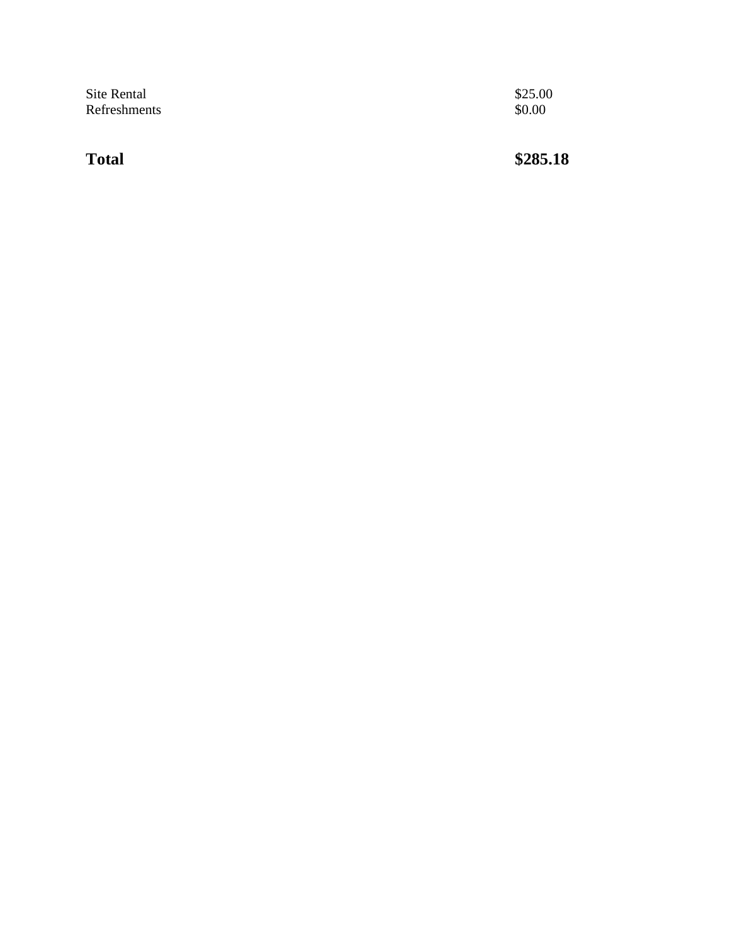| Site Rental  | \$25.00 |
|--------------|---------|
| Refreshments | \$0.00  |

**Total \$285.18**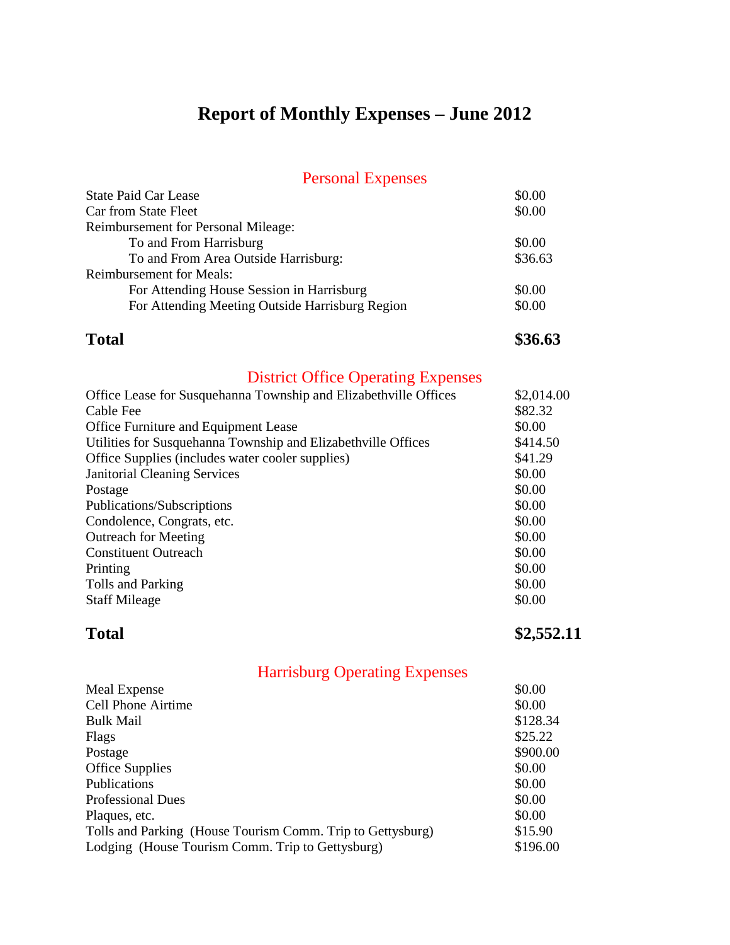# **Report of Monthly Expenses – June 2012**

### Personal Expenses

| <b>State Paid Car Lease</b>                     | \$0.00  |
|-------------------------------------------------|---------|
| Car from State Fleet                            | \$0.00  |
| Reimbursement for Personal Mileage:             |         |
| To and From Harrisburg                          | \$0.00  |
| To and From Area Outside Harrisburg:            | \$36.63 |
| <b>Reimbursement for Meals:</b>                 |         |
| For Attending House Session in Harrisburg       | \$0.00  |
| For Attending Meeting Outside Harrisburg Region | \$0.00  |
|                                                 |         |

**Total \$36.63**

## District Office Operating Expenses

| \$82.32<br>Cable Fee<br>\$0.00<br><b>Office Furniture and Equipment Lease</b><br>Utilities for Susquehanna Township and Elizabethville Offices<br>\$414.50<br>\$41.29<br>Office Supplies (includes water cooler supplies)<br>\$0.00<br><b>Janitorial Cleaning Services</b><br>\$0.00<br>Postage<br>\$0.00<br>Publications/Subscriptions<br>\$0.00<br>Condolence, Congrats, etc.<br><b>Outreach for Meeting</b><br>\$0.00<br><b>Constituent Outreach</b><br>\$0.00<br>\$0.00<br>Printing<br>\$0.00 | Office Lease for Susquehanna Township and Elizabethville Offices | \$2,014.00 |
|---------------------------------------------------------------------------------------------------------------------------------------------------------------------------------------------------------------------------------------------------------------------------------------------------------------------------------------------------------------------------------------------------------------------------------------------------------------------------------------------------|------------------------------------------------------------------|------------|
|                                                                                                                                                                                                                                                                                                                                                                                                                                                                                                   |                                                                  |            |
|                                                                                                                                                                                                                                                                                                                                                                                                                                                                                                   |                                                                  |            |
|                                                                                                                                                                                                                                                                                                                                                                                                                                                                                                   |                                                                  |            |
|                                                                                                                                                                                                                                                                                                                                                                                                                                                                                                   |                                                                  |            |
|                                                                                                                                                                                                                                                                                                                                                                                                                                                                                                   |                                                                  |            |
|                                                                                                                                                                                                                                                                                                                                                                                                                                                                                                   |                                                                  |            |
|                                                                                                                                                                                                                                                                                                                                                                                                                                                                                                   |                                                                  |            |
|                                                                                                                                                                                                                                                                                                                                                                                                                                                                                                   |                                                                  |            |
|                                                                                                                                                                                                                                                                                                                                                                                                                                                                                                   |                                                                  |            |
|                                                                                                                                                                                                                                                                                                                                                                                                                                                                                                   |                                                                  |            |
|                                                                                                                                                                                                                                                                                                                                                                                                                                                                                                   |                                                                  |            |
|                                                                                                                                                                                                                                                                                                                                                                                                                                                                                                   | Tolls and Parking                                                |            |
| \$0.00<br><b>Staff Mileage</b>                                                                                                                                                                                                                                                                                                                                                                                                                                                                    |                                                                  |            |

**Total \$2,552.11** 

| Meal Expense                                               | \$0.00   |
|------------------------------------------------------------|----------|
| <b>Cell Phone Airtime</b>                                  | \$0.00   |
| <b>Bulk Mail</b>                                           | \$128.34 |
| Flags                                                      | \$25.22  |
| Postage                                                    | \$900.00 |
| <b>Office Supplies</b>                                     | \$0.00   |
| Publications                                               | \$0.00   |
| <b>Professional Dues</b>                                   | \$0.00   |
| Plaques, etc.                                              | \$0.00   |
| Tolls and Parking (House Tourism Comm. Trip to Gettysburg) | \$15.90  |
| Lodging (House Tourism Comm. Trip to Gettysburg)           | \$196.00 |
|                                                            |          |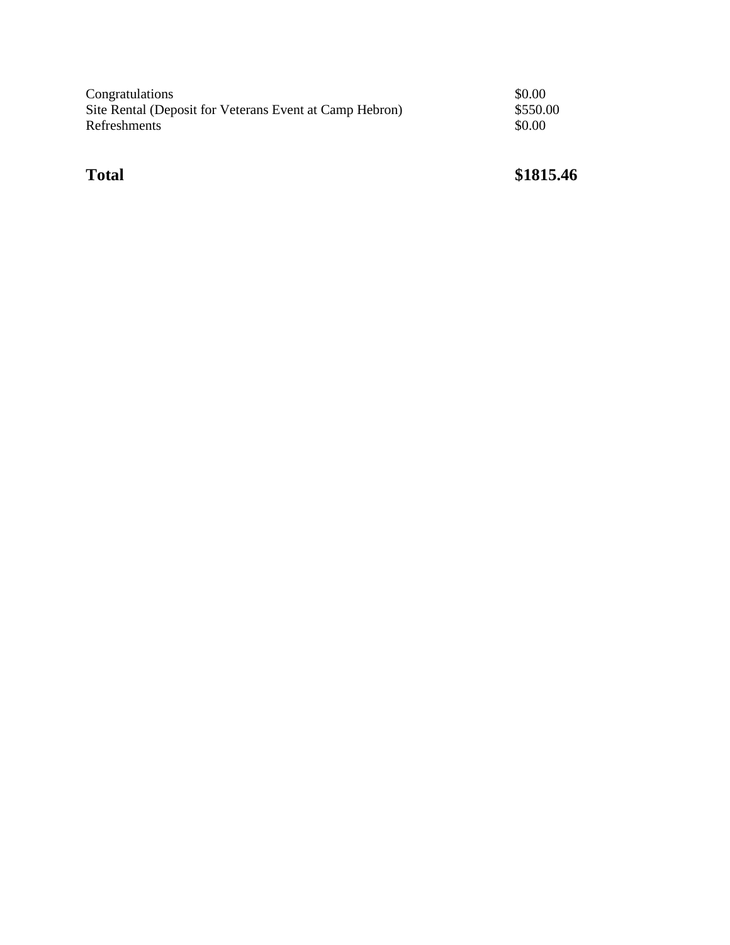| Congratulations                                         | \$0.00   |
|---------------------------------------------------------|----------|
| Site Rental (Deposit for Veterans Event at Camp Hebron) | \$550.00 |
| Refreshments                                            | \$0.00   |
|                                                         |          |

## **Total \$1815.46**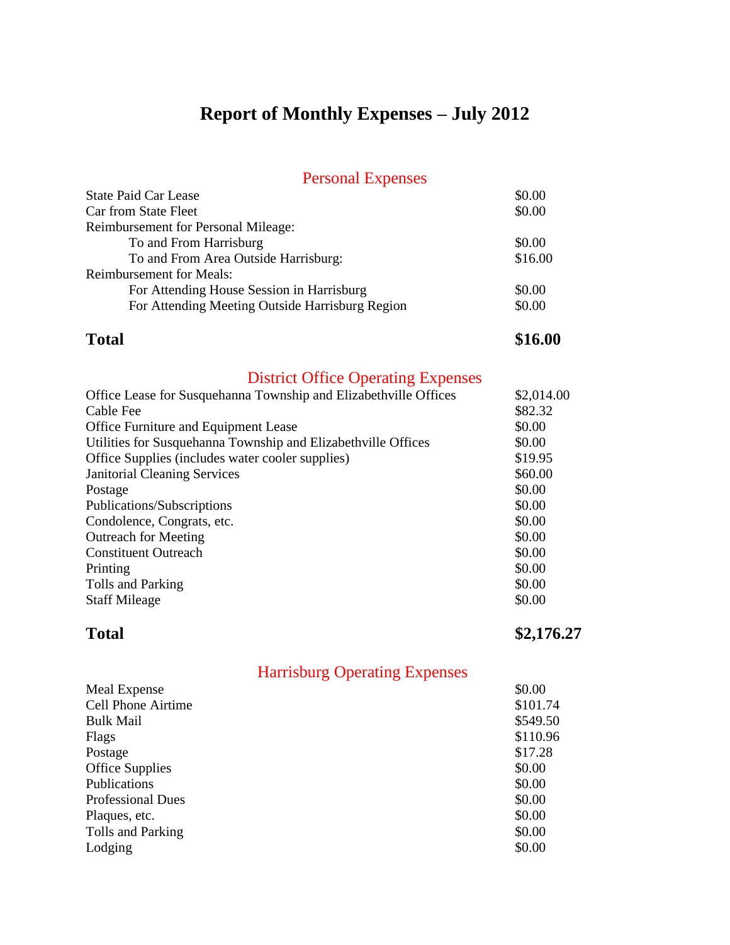# **Report of Monthly Expenses – July 2012**

### Personal Expenses

| \$0.00  |
|---------|
| \$0.00  |
|         |
| \$0.00  |
| \$16.00 |
|         |
| \$0.00  |
| \$0.00  |
|         |

**Total \$16.00**

## District Office Operating Expenses

| Office Lease for Susquehanna Township and Elizabethville Offices | \$2,014.00 |
|------------------------------------------------------------------|------------|
| Cable Fee                                                        | \$82.32    |
| <b>Office Furniture and Equipment Lease</b>                      | \$0.00     |
| Utilities for Susquehanna Township and Elizabethville Offices    | \$0.00     |
| Office Supplies (includes water cooler supplies)                 | \$19.95    |
| <b>Janitorial Cleaning Services</b>                              | \$60.00    |
| Postage                                                          | \$0.00     |
| Publications/Subscriptions                                       | \$0.00     |
| Condolence, Congrats, etc.                                       | \$0.00     |
| <b>Outreach for Meeting</b>                                      | \$0.00     |
| <b>Constituent Outreach</b>                                      | \$0.00     |
| Printing                                                         | \$0.00     |
| Tolls and Parking                                                | \$0.00     |
| <b>Staff Mileage</b>                                             | \$0.00     |
|                                                                  |            |

**Total \$2,176.27**

| \$0.00   |
|----------|
| \$101.74 |
| \$549.50 |
| \$110.96 |
| \$17.28  |
| \$0.00   |
| \$0.00   |
| \$0.00   |
| \$0.00   |
| \$0.00   |
| \$0.00   |
|          |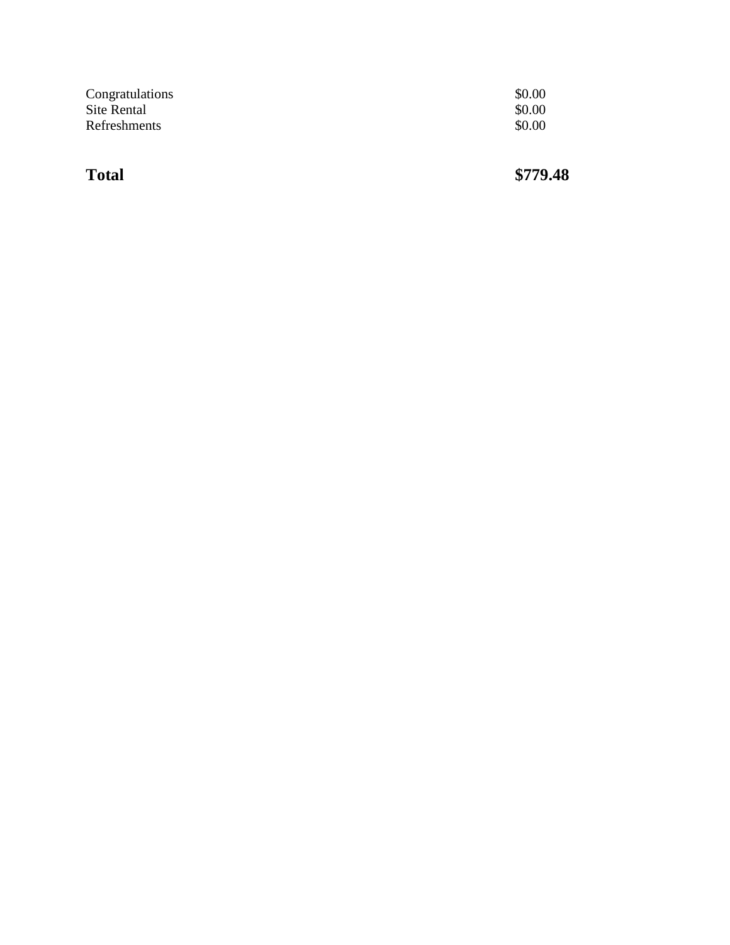| Congratulations<br>Site Rental | \$0.00<br>\$0.00 |
|--------------------------------|------------------|
| Refreshments                   | \$0.00           |
|                                |                  |

**Total \$779.48**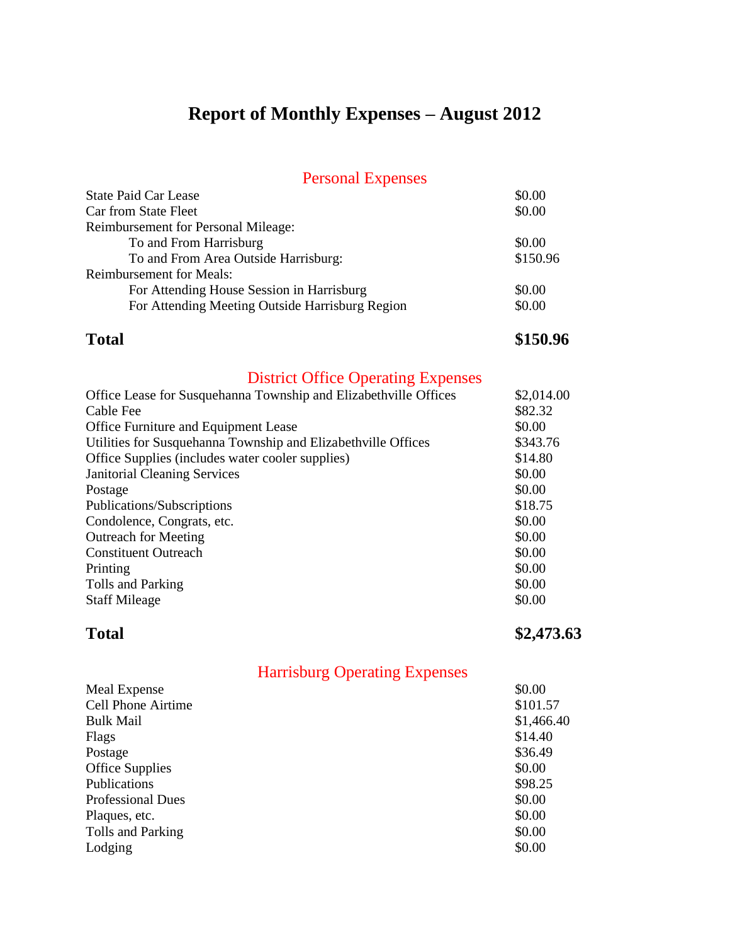## **Report of Monthly Expenses – August 2012**

### Personal Expenses

| <b>State Paid Car Lease</b>                     | \$0.00   |
|-------------------------------------------------|----------|
| Car from State Fleet                            | \$0.00   |
| <b>Reimbursement for Personal Mileage:</b>      |          |
| To and From Harrisburg                          | \$0.00   |
| To and From Area Outside Harrisburg:            | \$150.96 |
| <b>Reimbursement for Meals:</b>                 |          |
| For Attending House Session in Harrisburg       | \$0.00   |
| For Attending Meeting Outside Harrisburg Region | \$0.00   |
|                                                 |          |

**Total \$150.96**

## District Office Operating Expenses

| \$2,014.00 |
|------------|
| \$82.32    |
| \$0.00     |
| \$343.76   |
| \$14.80    |
| \$0.00     |
| \$0.00     |
| \$18.75    |
| \$0.00     |
| \$0.00     |
| \$0.00     |
| \$0.00     |
| \$0.00     |
| \$0.00     |
|            |

**Total \$2,473.63**

| Meal Expense              | \$0.00     |
|---------------------------|------------|
| <b>Cell Phone Airtime</b> | \$101.57   |
| <b>Bulk Mail</b>          | \$1,466.40 |
| Flags                     | \$14.40    |
| Postage                   | \$36.49    |
| <b>Office Supplies</b>    | \$0.00     |
| Publications              | \$98.25    |
| <b>Professional Dues</b>  | \$0.00     |
| Plaques, etc.             | \$0.00     |
| Tolls and Parking         | \$0.00     |
| Lodging                   | \$0.00     |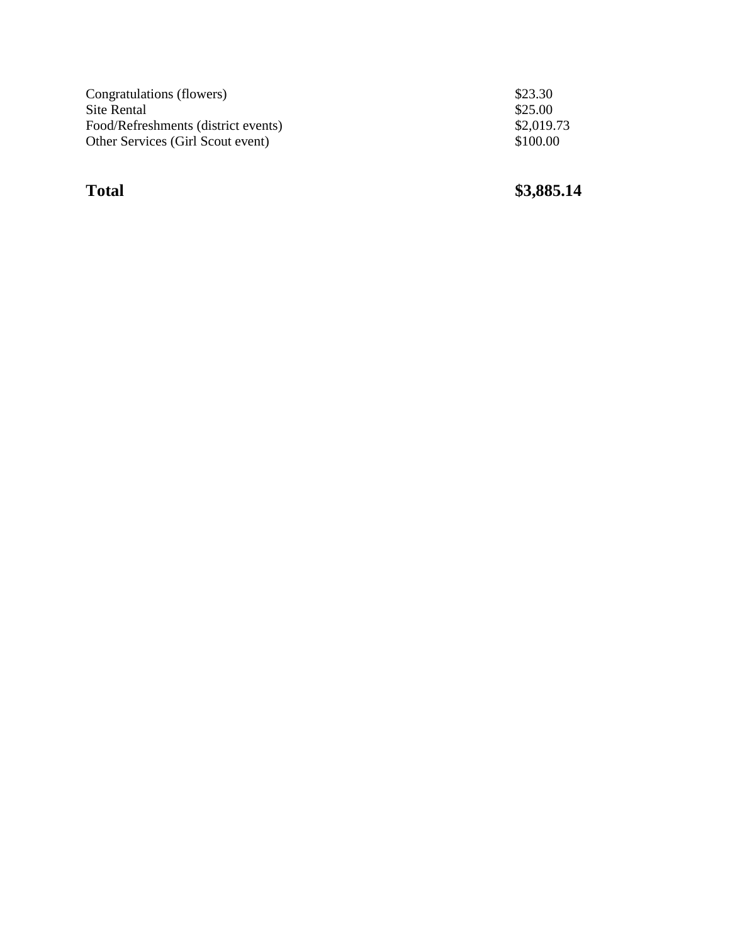| Congratulations (flowers)           | \$23.30    |
|-------------------------------------|------------|
| Site Rental                         | \$25.00    |
| Food/Refreshments (district events) | \$2,019.73 |
| Other Services (Girl Scout event)   | \$100.00   |

**Total** 

**\$3,885.14**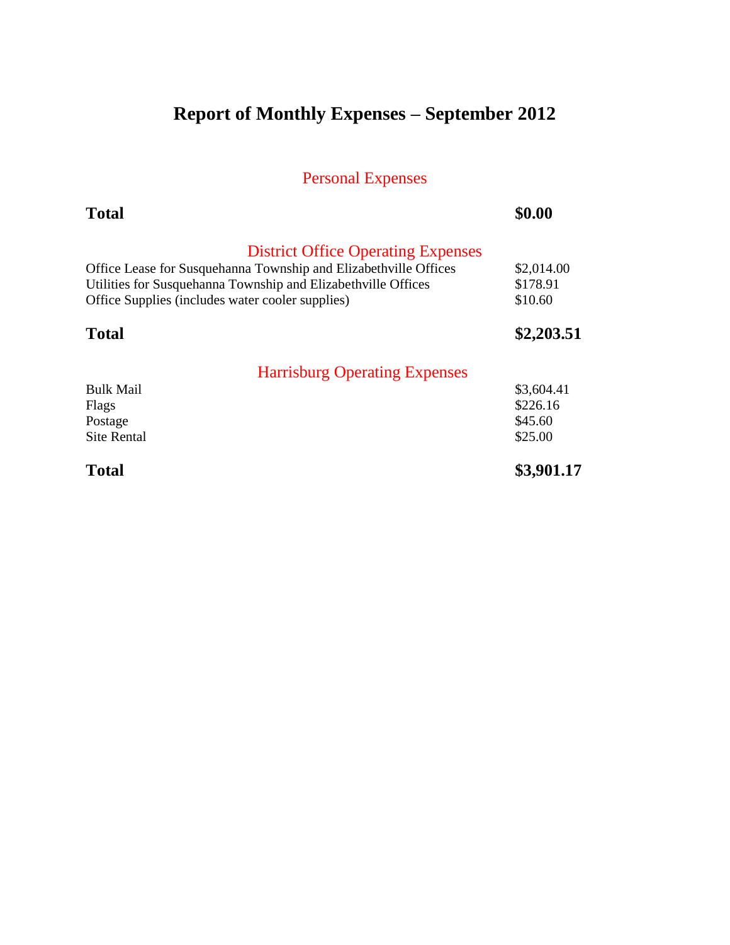# **Report of Monthly Expenses – September 2012**

| <b>Total</b>                                                     | \$0.00     |
|------------------------------------------------------------------|------------|
| <b>District Office Operating Expenses</b>                        |            |
| Office Lease for Susquehanna Township and Elizabethville Offices | \$2,014.00 |
| Utilities for Susquehanna Township and Elizabethville Offices    | \$178.91   |
| Office Supplies (includes water cooler supplies)                 | \$10.60    |
| Total                                                            | \$2,203.51 |
| <b>Harrisburg Operating Expenses</b>                             |            |
| <b>Bulk Mail</b>                                                 | \$3,604.41 |
| Flags                                                            | \$226.16   |
| Postage                                                          | \$45.60    |
| <b>Site Rental</b>                                               | \$25.00    |
| <b>Total</b>                                                     | \$3,901.17 |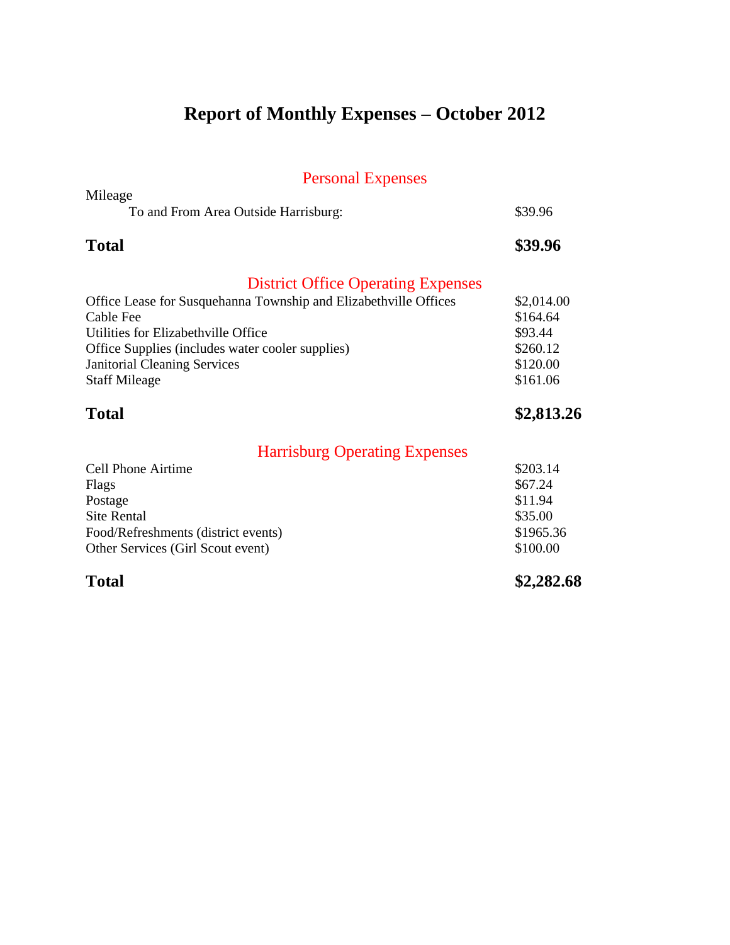# **Report of Monthly Expenses – October 2012**

| Mileage                                                          |            |
|------------------------------------------------------------------|------------|
| To and From Area Outside Harrisburg:                             | \$39.96    |
| <b>Total</b>                                                     | \$39.96    |
| <b>District Office Operating Expenses</b>                        |            |
| Office Lease for Susquehanna Township and Elizabethville Offices | \$2,014.00 |
| Cable Fee                                                        | \$164.64   |
| Utilities for Elizabethville Office                              | \$93.44    |
| Office Supplies (includes water cooler supplies)                 | \$260.12   |
| <b>Janitorial Cleaning Services</b>                              | \$120.00   |
| <b>Staff Mileage</b>                                             | \$161.06   |
| <b>Total</b>                                                     | \$2,813.26 |
| <b>Harrisburg Operating Expenses</b>                             |            |
| Cell Phone Airtime                                               | \$203.14   |
| Flags                                                            | \$67.24    |
| Postage                                                          | \$11.94    |
| <b>Site Rental</b>                                               | \$35.00    |
| Food/Refreshments (district events)                              | \$1965.36  |
| Other Services (Girl Scout event)                                | \$100.00   |
| <b>Total</b>                                                     | \$2,282.68 |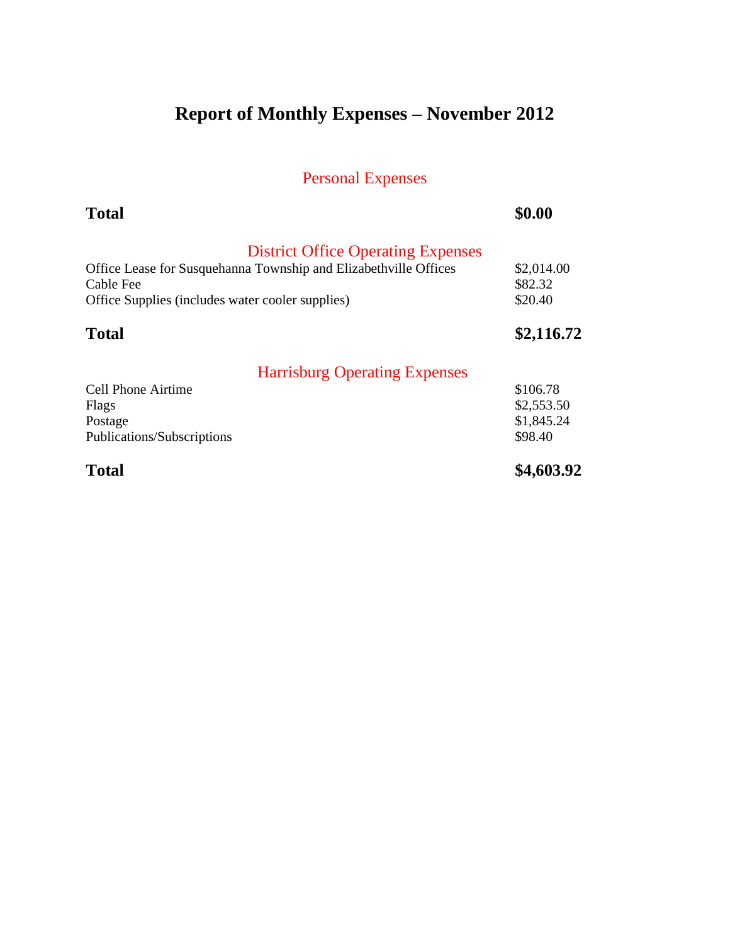# **Report of Monthly Expenses – November 2012**

| <b>Total</b>                                                                                                                                                                   | \$0.00                                          |
|--------------------------------------------------------------------------------------------------------------------------------------------------------------------------------|-------------------------------------------------|
| <b>District Office Operating Expenses</b><br>Office Lease for Susquehanna Township and Elizabethville Offices<br>Cable Fee<br>Office Supplies (includes water cooler supplies) | \$2,014.00<br>\$82.32<br>\$20.40                |
| <b>Total</b>                                                                                                                                                                   | \$2,116.72                                      |
| <b>Harrisburg Operating Expenses</b>                                                                                                                                           |                                                 |
| <b>Cell Phone Airtime</b><br>Flags<br>Postage<br>Publications/Subscriptions                                                                                                    | \$106.78<br>\$2,553.50<br>\$1,845.24<br>\$98.40 |
| <b>Total</b>                                                                                                                                                                   | \$4,603.92                                      |